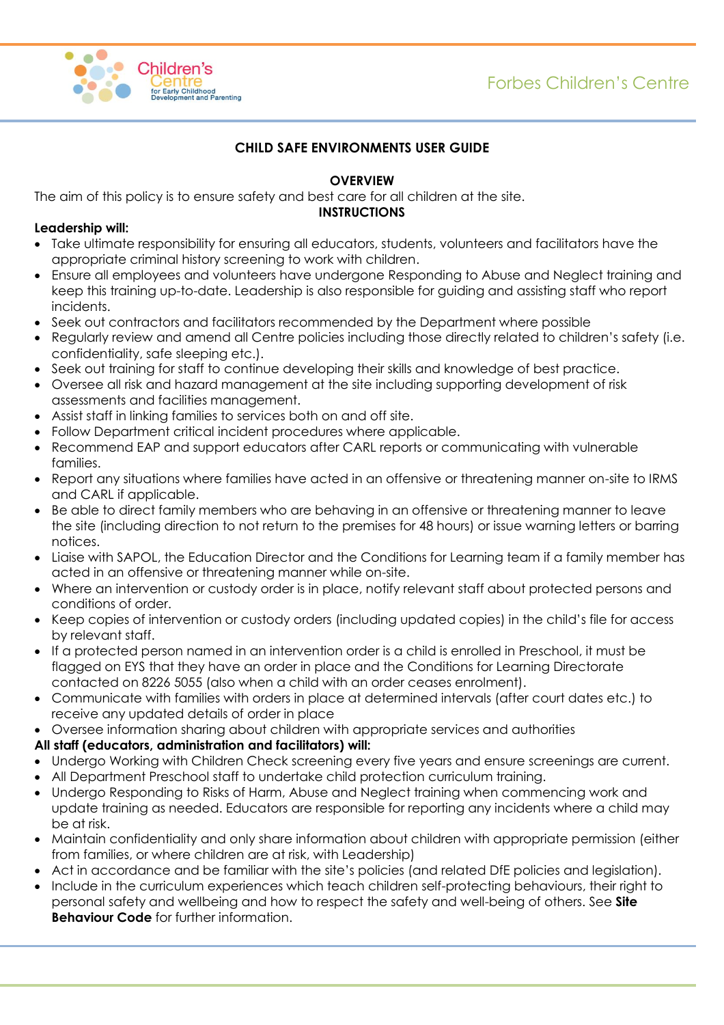# Forbes Children's Centre



### **CHILD SAFE ENVIRONMENTS USER GUIDE**

### **OVERVIEW**

The aim of this policy is to ensure safety and best care for all children at the site.

#### **INSTRUCTIONS**

#### **Leadership will:**

- Take ultimate responsibility for ensuring all educators, students, volunteers and facilitators have the appropriate criminal history screening to work with children.
- Ensure all employees and volunteers have undergone Responding to Abuse and Neglect training and keep this training up-to-date. Leadership is also responsible for guiding and assisting staff who report incidents.
- Seek out contractors and facilitators recommended by the Department where possible
- Regularly review and amend all Centre policies including those directly related to children's safety (i.e. confidentiality, safe sleeping etc.).
- Seek out training for staff to continue developing their skills and knowledge of best practice.
- Oversee all risk and hazard management at the site including supporting development of risk assessments and facilities management.
- Assist staff in linking families to services both on and off site.
- Follow Department critical incident procedures where applicable.
- Recommend EAP and support educators after CARL reports or communicating with vulnerable families.
- Report any situations where families have acted in an offensive or threatening manner on-site to IRMS and CARL if applicable.
- Be able to direct family members who are behaving in an offensive or threatening manner to leave the site (including direction to not return to the premises for 48 hours) or issue warning letters or barring notices.
- Liaise with SAPOL, the Education Director and the Conditions for Learning team if a family member has acted in an offensive or threatening manner while on-site.
- Where an intervention or custody order is in place, notify relevant staff about protected persons and conditions of order.
- Keep copies of intervention or custody orders (including updated copies) in the child's file for access by relevant staff.
- If a protected person named in an intervention order is a child is enrolled in Preschool, it must be flagged on EYS that they have an order in place and the Conditions for Learning Directorate contacted on 8226 5055 (also when a child with an order ceases enrolment).
- Communicate with families with orders in place at determined intervals (after court dates etc.) to receive any updated details of order in place
- Oversee information sharing about children with appropriate services and authorities

#### **All staff (educators, administration and facilitators) will:**

- Undergo Working with Children Check screening every five years and ensure screenings are current.
- All Department Preschool staff to undertake child protection curriculum training.
- Undergo Responding to Risks of Harm, Abuse and Neglect training when commencing work and update training as needed. Educators are responsible for reporting any incidents where a child may be at risk.
- Maintain confidentiality and only share information about children with appropriate permission (either from families, or where children are at risk, with Leadership)
- Act in accordance and be familiar with the site's policies (and related DfE policies and legislation).
- Include in the curriculum experiences which teach children self-protecting behaviours, their right to personal safety and wellbeing and how to respect the safety and well-being of others. See **Site Behaviour Code** for further information.